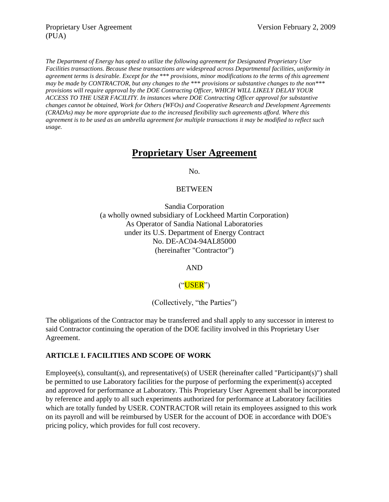*The Department of Energy has opted to utilize the following agreement for Designated Proprietary User Facilities transactions. Because these transactions are widespread across Departmental facilities, uniformity in agreement terms is desirable. Except for the* \*\*\* *provisions, minor modifications to the terms of this agreement may be made by CONTRACTOR, but any changes to the* \*\*\* *provisions or substantive changes to the non\*\*\* provisions will require approval by the DOE Contracting Officer, WHICH WILL LIKELY DELAY YOUR ACCESS TO THE USER FACILITY. In instances where DOE Contracting Officer approval for substantive changes cannot be obtained, Work for Others (WFOs) and Cooperative Research and Development Agreements (CRADAs) may be more appropriate due to the increased flexibility such agreements afford. Where this agreement is to be used as an umbrella agreement for multiple transactions it may be modified to reflect such usage.*

## **Proprietary User Agreement**

No.

#### **BETWEEN**

Sandia Corporation (a wholly owned subsidiary of Lockheed Martin Corporation) As Operator of Sandia National Laboratories under its U.S. Department of Energy Contract No. DE-AC04-94AL85000 (hereinafter "Contractor")

AND

## $("USER")$

(Collectively, "the Parties")

The obligations of the Contractor may be transferred and shall apply to any successor in interest to said Contractor continuing the operation of the DOE facility involved in this Proprietary User Agreement.

## **ARTICLE I. FACILITIES AND SCOPE OF WORK**

Employee(s), consultant(s), and representative(s) of USER (hereinafter called "Participant(s)") shall be permitted to use Laboratory facilities for the purpose of performing the experiment(s) accepted and approved for performance at Laboratory. This Proprietary User Agreement shall be incorporated by reference and apply to all such experiments authorized for performance at Laboratory facilities which are totally funded by USER. CONTRACTOR will retain its employees assigned to this work on its payroll and will be reimbursed by USER for the account of DOE in accordance with DOE's pricing policy, which provides for full cost recovery.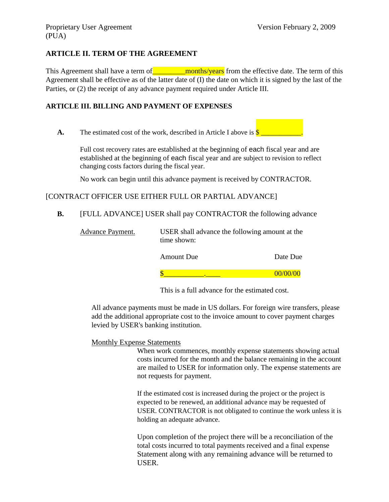### **ARTICLE II. TERM OF THE AGREEMENT**

This Agreement shall have a term of  $\blacksquare$  months/years from the effective date. The term of this Agreement shall be effective as of the latter date of (I) the date on which it is signed by the last of the Parties, or (2) the receipt of any advance payment required under Article III.

#### **ARTICLE III. BILLING AND PAYMENT OF EXPENSES**

**A.** The estimated cost of the work, described in Article I above is  $\frac{\S_1}{\S_2}$ 

Full cost recovery rates are established at the beginning of each fiscal year and are established at the beginning of each fiscal year and are subject to revision to reflect changing costs factors during the fiscal year.

No work can begin until this advance payment is received by CONTRACTOR.

#### [CONTRACT OFFICER USE EITHER FULL OR PARTIAL ADVANCE]

**B.** [FULL ADVANCE] USER shall pay CONTRACTOR the following advance

| <b>Advance Payment.</b> | USER shall advance the following amount at the<br>time shown: |          |
|-------------------------|---------------------------------------------------------------|----------|
|                         | <b>Amount Due</b>                                             | Date Due |
|                         |                                                               | 00/00/00 |

This is a full advance for the estimated cost.

All advance payments must be made in US dollars. For foreign wire transfers, please add the additional appropriate cost to the invoice amount to cover payment charges levied by USER's banking institution.

#### Monthly Expense Statements

When work commences, monthly expense statements showing actual costs incurred for the month and the balance remaining in the account are mailed to USER for information only. The expense statements are not requests for payment.

If the estimated cost is increased during the project or the project is expected to be renewed, an additional advance may be requested of USER. CONTRACTOR is not obligated to continue the work unless it is holding an adequate advance.

Upon completion of the project there will be a reconciliation of the total costs incurred to total payments received and a final expense Statement along with any remaining advance will be returned to USER.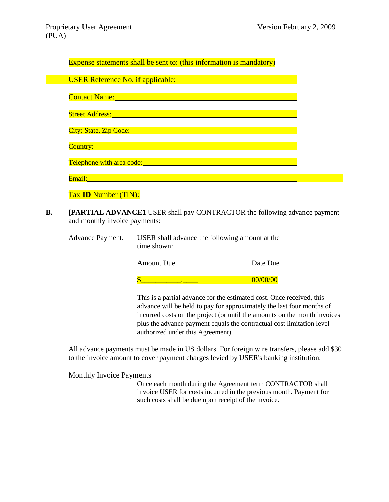| <b>Expense statements shall be sent to: (this information is mandatory)</b>                                                                                                                                                    |
|--------------------------------------------------------------------------------------------------------------------------------------------------------------------------------------------------------------------------------|
| USER Reference No. if applicable: <u>USER Reference</u> No. if applicable:                                                                                                                                                     |
| Contact Name: and the contract of the contract of the contract of the contract of the contract of the contract of the contract of the contract of the contract of the contract of the contract of the contract of the contract |
|                                                                                                                                                                                                                                |
| City; State, Zip Code: Calculation Code: City; State, Zip Code:                                                                                                                                                                |
| Country: Note: 1988 and 1989 and 1989 and 1989 and 1989 and 1989 and 1989 and 1989 and 1989 and 1989 and 1989                                                                                                                  |
|                                                                                                                                                                                                                                |
|                                                                                                                                                                                                                                |
| Tax <b>ID</b> Number (TIN):                                                                                                                                                                                                    |

**B. [PARTIAL ADVANCE1** USER shall pay CONTRACTOR the following advance payment and monthly invoice payments:

| <u>Advance Payment.</u> | USER shall advance the following amount at the<br>time shown: |          |
|-------------------------|---------------------------------------------------------------|----------|
|                         | <b>Amount Due</b>                                             | Date Due |
|                         |                                                               | 00/00/00 |
|                         | This is a partial advance for the estimated cost. Once rec    |          |

This is a partial advance for the estimated cost. Once received, this advance will be held to pay for approximately the last four months of incurred costs on the project (or until the amounts on the month invoices plus the advance payment equals the contractual cost limitation level authorized under this Agreement).

All advance payments must be made in US dollars. For foreign wire transfers, please add \$30 to the invoice amount to cover payment charges levied by USER's banking institution.

Monthly Invoice Payments

Once each month during the Agreement term CONTRACTOR shall invoice USER for costs incurred in the previous month. Payment for such costs shall be due upon receipt of the invoice.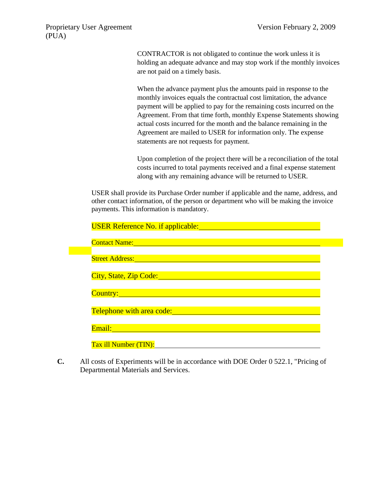CONTRACTOR is not obligated to continue the work unless it is holding an adequate advance and may stop work if the monthly invoices are not paid on a timely basis.

When the advance payment plus the amounts paid in response to the monthly invoices equals the contractual cost limitation, the advance payment will be applied to pay for the remaining costs incurred on the Agreement. From that time forth, monthly Expense Statements showing actual costs incurred for the month and the balance remaining in the Agreement are mailed to USER for information only. The expense statements are not requests for payment.

Upon completion of the project there will be a reconciliation of the total costs incurred to total payments received and a final expense statement along with any remaining advance will be returned to USER.

USER shall provide its Purchase Order number if applicable and the name, address, and other contact information, of the person or department who will be making the invoice payments. This information is mandatory.

| USER Reference No. if applicable: <b>Example 2014</b>                                                                                                                                                                         |  |
|-------------------------------------------------------------------------------------------------------------------------------------------------------------------------------------------------------------------------------|--|
| Contact Name: Name and Name and Name and Name and Name and Name and Name and Name and Name and Name and Name and                                                                                                              |  |
| Street Address: <u>Alexander and Alexander and Alexander and Alexander and Alexander and Alexander and Alexander</u>                                                                                                          |  |
| City, State, Zip Code: Calculation City, State, Zip Code:                                                                                                                                                                     |  |
| Country:<br>a de la construcción de la construcción de la construcción de la construcción de la construcción de la construc                                                                                                   |  |
| Telephone with area code: The annual contract of the state of the state of the state of the state of the state of the state of the state of the state of the state of the state of the state of the state of the state of the |  |
| Email:                                                                                                                                                                                                                        |  |
| Tax ill Number (TIN):                                                                                                                                                                                                         |  |

**C.** All costs of Experiments will be in accordance with DOE Order 0 522.1, "Pricing of Departmental Materials and Services.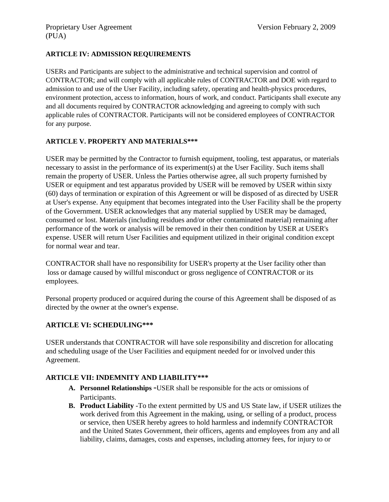### **ARTICLE IV: ADMISSION REQUIREMENTS**

USERs and Participants are subject to the administrative and technical supervision and control of CONTRACTOR; and will comply with all applicable rules of CONTRACTOR and DOE with regard to admission to and use of the User Facility, including safety, operating and health-physics procedures, environment protection, access to information, hours of work, and conduct. Participants shall execute any and all documents required by CONTRACTOR acknowledging and agreeing to comply with such applicable rules of CONTRACTOR. Participants will not be considered employees of CONTRACTOR for any purpose.

## **ARTICLE V. PROPERTY AND MATERIALS\*\*\***

USER may be permitted by the Contractor to furnish equipment, tooling, test apparatus, or materials necessary to assist in the performance of its experiment(s) at the User Facility. Such items shall remain the property of USER. Unless the Parties otherwise agree, all such property furnished by USER or equipment and test apparatus provided by USER will be removed by USER within sixty (60) days of termination or expiration of this Agreement or will be disposed of as directed by USER at User's expense. Any equipment that becomes integrated into the User Facility shall be the property of the Government. USER acknowledges that any material supplied by USER may be damaged, consumed or lost. Materials (including residues and/or other contaminated material) remaining after performance of the work or analysis will be removed in their then condition by USER at USER's expense. USER will return User Facilities and equipment utilized in their original condition except for normal wear and tear.

CONTRACTOR shall have no responsibility for USER's property at the User facility other than loss or damage caused by willful misconduct or gross negligence of CONTRACTOR or its employees.

Personal property produced or acquired during the course of this Agreement shall be disposed of as directed by the owner at the owner's expense.

#### **ARTICLE VI: SCHEDULING\*\*\***

USER understands that CONTRACTOR will have sole responsibility and discretion for allocating and scheduling usage of the User Facilities and equipment needed for or involved under this Agreement.

#### **ARTICLE VII: INDEMNITY AND LIABILITY\*\*\***

- **A. Personnel Relationships** -USER shall be responsible for the acts or omissions of Participants.
- **B. Product Liability** -To the extent permitted by US and US State law, if USER utilizes the work derived from this Agreement in the making, using, or selling of a product, process or service, then USER hereby agrees to hold harmless and indemnify CONTRACTOR and the United States Government, their officers, agents and employees from any and all liability, claims, damages, costs and expenses, including attorney fees, for injury to or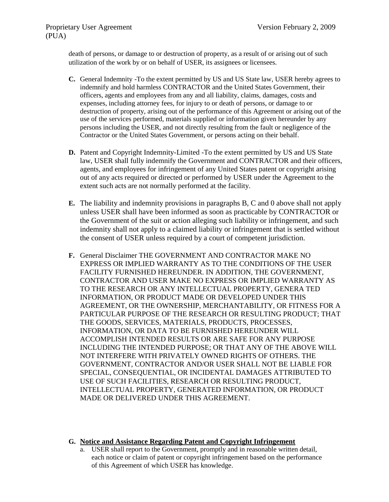death of persons, or damage to or destruction of property, as a result of or arising out of such utilization of the work by or on behalf of USER, its assignees or licensees.

- **C.** General Indemnity -To the extent permitted by US and US State law, USER hereby agrees to indemnify and hold harmless CONTRACTOR and the United States Government, their officers, agents and employees from any and all liability, claims, damages, costs and expenses, including attorney fees, for injury to or death of persons, or damage to or destruction of property, arising out of the performance of this Agreement or arising out of the use of the services performed, materials supplied or information given hereunder by any persons including the USER, and not directly resulting from the fault or negligence of the Contractor or the United States Government, or persons acting on their behalf.
- **D.** Patent and Copyright Indemnity-Limited -To the extent permitted by US and US State law, USER shall fully indemnify the Government and CONTRACTOR and their officers, agents, and employees for infringement of any United States patent or copyright arising out of any acts required or directed or performed by USER under the Agreement to the extent such acts are not normally performed at the facility.
- **E.** The liability and indemnity provisions in paragraphs B, C and 0 above shall not apply unless USER shall have been informed as soon as practicable by CONTRACTOR or the Government of the suit or action alleging such liability or infringement, and such indemnity shall not apply to a claimed liability or infringement that is settled without the consent of USER unless required by a court of competent jurisdiction.
- **F.** General Disclaimer THE GOVERNMENT AND CONTRACTOR MAKE NO EXPRESS OR IMPLIED WARRANTY AS TO THE CONDITIONS OF THE USER FACILITY FURNISHED HEREUNDER. IN ADDITION, THE GOVERNMENT, CONTRACTOR AND USER MAKE NO EXPRESS OR IMPLIED WARRANTY AS TO THE RESEARCH OR ANY INTELLECTUAL PROPERTY, GENERA TED INFORMATION, OR PRODUCT MADE OR DEVELOPED UNDER THIS AGREEMENT, OR THE OWNERSHIP, MERCHANTABILITY, OR FITNESS FOR A PARTICULAR PURPOSE OF THE RESEARCH OR RESULTING PRODUCT; THAT THE GOODS, SERVICES, MATERIALS, PRODUCTS, PROCESSES, INFORMATION, OR DATA TO BE FURNISHED HEREUNDER WILL ACCOMPLISH INTENDED RESULTS OR ARE SAFE FOR ANY PURPOSE INCLUDING THE INTENDED PURPOSE; OR THAT ANY OF THE ABOVE WILL NOT INTERFERE WITH PRIVATELY OWNED RIGHTS OF OTHERS. THE GOVERNMENT, CONTRACTOR AND/OR USER SHALL NOT BE LIABLE FOR SPECIAL, CONSEQUENTIAL, OR INCIDENTAL DAMAGES ATTRIBUTED TO USE OF SUCH FACILITIES, RESEARCH OR RESULTING PRODUCT, INTELLECTUAL PROPERTY, GENERATED INFORMATION, OR PRODUCT MADE OR DELIVERED UNDER THIS AGREEMENT.

#### **G. Notice and Assistance Regarding Patent and Copyright Infringement**

a. USER shall report to the Government, promptly and in reasonable written detail, each notice or claim of patent or copyright infringement based on the performance of this Agreement of which USER has knowledge.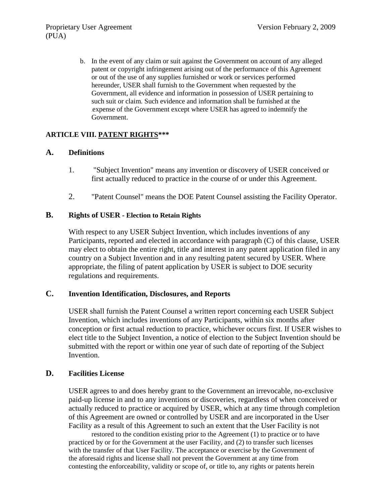b. In the event of any claim or suit against the Government on account of any alleged patent or copyright infringement arising out of the performance of this Agreement or out of the use of any supplies furnished or work or services performed hereunder, USER shall furnish to the Government when requested by the Government, all evidence and information in possession of USER pertaining to such suit or claim. Such evidence and information shall be furnished at the .expense of the Government except where USER has agreed to indemnify the Government.

## **ARTICLE VIII. PATENT RIGHTS\*\*\***

#### **A. Definitions**

- 1. "Subject Invention" means any invention or discovery of USER conceived or first actually reduced to practice in the course of or under this Agreement.
- 2. "Patent Counsel" means the DOE Patent Counsel assisting the Facility Operator.

#### **B. Rights of USER - Election to Retain Rights**

With respect to any USER Subject Invention, which includes inventions of any Participants, reported and elected in accordance with paragraph (C) of this clause, USER may elect to obtain the entire right, title and interest in any patent application filed in any country on a Subject Invention and in any resulting patent secured by USER. Where appropriate, the filing of patent application by USER is subject to DOE security regulations and requirements.

## **C. Invention Identification, Disclosures, and Reports**

USER shall furnish the Patent Counsel a written report concerning each USER Subject Invention, which includes inventions of any Participants, within six months after conception or first actual reduction to practice, whichever occurs first. If USER wishes to elect title to the Subject Invention, a notice of election to the Subject Invention should be submitted with the report or within one year of such date of reporting of the Subject Invention.

## **D. Facilities License**

USER agrees to and does hereby grant to the Government an irrevocable, no-exclusive paid-up license in and to any inventions or discoveries, regardless of when conceived or actually reduced to practice or acquired by USER, which at any time through completion of this Agreement are owned or controlled by USER and are incorporated in the User Facility as a result of this Agreement to such an extent that the User Facility is not

restored to the condition existing prior to the Agreement (1) to practice or to have practiced by or for the Government at the user Facility, and (2) to transfer such licenses with the transfer of that User Facility. The acceptance or exercise by the Government of the aforesaid rights and license shall not prevent the Government at any time from contesting the enforceability, validity or scope of, or title to, any rights or patents herein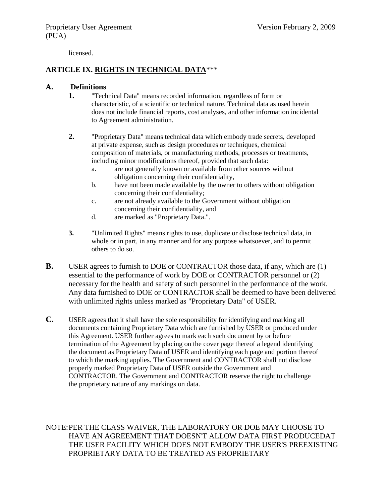licensed.

## **ARTICLE IX. RIGHTS IN TECHNICAL DATA**\*\*\*

#### **A. Definitions**

- **1.** "Technical Data" means recorded information, regardless of form or characteristic, of a scientific or technical nature. Technical data as used herein does not include financial reports, cost analyses, and other information incidental to Agreement administration.
- **2.** "Proprietary Data" means technical data which embody trade secrets, developed at private expense, such as design procedures or techniques, chemical composition of materials, or manufacturing methods, processes or treatments, including minor modifications thereof, provided that such data:
	- a. are not generally known or available from other sources without obligation concerning their confidentiality,
	- b. have not been made available by the owner to others without obligation concerning their confidentiality;
	- c. are not already available to the Government without obligation concerning their confidentiality, and
	- d. are marked as "Proprietary Data.".
- **3.** "Unlimited Rights" means rights to use, duplicate or disclose technical data, in whole or in part, in any manner and for any purpose whatsoever, and to permit others to do so.
- **B.** USER agrees to furnish to DOE or CONTRACTOR those data, if any, which are (1) essential to the performance of work by DOE or CONTRACTOR personnel or (2) necessary for the health and safety of such personnel in the performance of the work. Any data furnished to DOE or CONTRACTOR shall be deemed to have been delivered with unlimited rights unless marked as "Proprietary Data" of USER.
- **C.** USER agrees that it shall have the sole responsibility for identifying and marking all documents containing Proprietary Data which are furnished by USER or produced under this Agreement. USER further agrees to mark each such document by or before termination of the Agreement by placing on the cover page thereof a legend identifying the document as Proprietary Data of USER and identifying each page and portion thereof to which the marking applies. The Government and CONTRACTOR shall not disclose properly marked Proprietary Data of USER outside the Government and CONTRACTOR. The Government and CONTRACTOR reserve the right to challenge the proprietary nature of any markings on data.

NOTE:PER THE CLASS WAIVER, THE LABORATORY OR DOE MAY CHOOSE TO HAVE AN AGREEMENT THAT DOESN'T ALLOW DATA FIRST PRODUCEDAT THE USER FACILITY WHICH DOES NOT EMBODY THE USER'S PREEXISTING PROPRIETARY DATA TO BE TREATED AS PROPRIETARY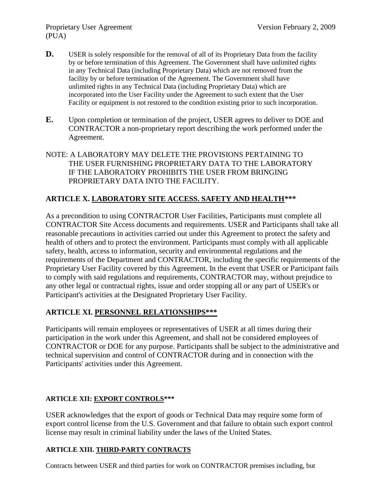- **D.** USER is solely responsible for the removal of all of its Proprietary Data from the facility by or before termination of this Agreement. The Government shall have unlimited rights in any Technical Data (including Proprietary Data) which are not removed from the facility by or before termination of the Agreement. The Government shall have unlimited rights in any Technical Data (including Proprietary Data) which are incorporated into the User Facility under the Agreement to such extent that the User Facility or equipment is not restored to the condition existing prior to such incorporation.
- **E.** Upon completion or termination of the project, USER agrees to deliver to DOE and CONTRACTOR a non-proprietary report describing the work performed under the Agreement.
- NOTE: A LABORATORY MAY DELETE THE PROVISIONS PERTAINING TO THE USER FURNISHING PROPRIETARY DATA TO THE LABORATORY IF THE LABORATORY PROHIBITS THE USER FROM BRINGING PROPRIETARY DATA INTO THE FACILITY.

## **ARTICLE X. LABORATORY SITE ACCESS. SAFETY AND HEALTH\*\*\***

As a precondition to using CONTRACTOR User Facilities, Participants must complete all CONTRACTOR Site Access documents and requirements. USER and Participants shall take all reasonable precautions in activities carried out under this Agreement to protect the safety and health of others and to protect the environment. Participants must comply with all applicable safety, health, access to information, security and environmental regulations and the requirements of the Department and CONTRACTOR, including the specific requirements of the Proprietary User Facility covered by this Agreement. In the event that USER or Participant fails to comply with said regulations and requirements, CONTRACTOR may, without prejudice to any other legal or contractual rights, issue and order stopping all or any part of USER's or Participant's activities at the Designated Proprietary User Facility.

## **ARTICLE XI. PERSONNEL RELATIONSHIPS\*\*\***

Participants will remain employees or representatives of USER at all times during their participation in the work under this Agreement, and shall not be considered employees of CONTRACTOR or DOE for any purpose. Participants shall be subject to the administrative and technical supervision and control of CONTRACTOR during and in connection with the Participants' activities under this Agreement.

## **ARTICLE XII: EXPORT CONTROLS\*\*\***

USER acknowledges that the export of goods or Technical Data may require some form of export control license from the U.S. Government and that failure to obtain such export control license may result in criminal liability under the laws of the United States.

## **ARTICLE XIII. THIRD-PARTY CONTRACTS**

Contracts between USER and third parties for work on CONTRACTOR premises including, but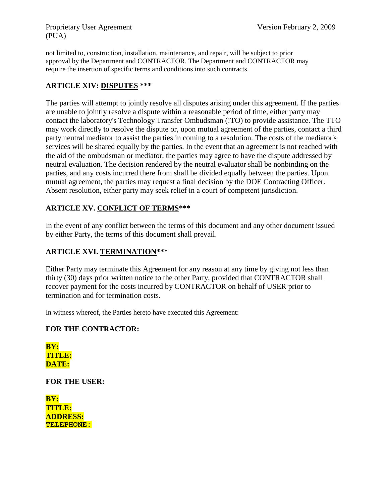Proprietary User Agreement Version February 2, 2009 (PUA)

not limited to, construction, installation, maintenance, and repair, will be subject to prior approval by the Department and CONTRACTOR. The Department and CONTRACTOR may require the insertion of specific terms and conditions into such contracts.

## **ARTICLE XIV: DISPUTES \*\*\***

The parties will attempt to jointly resolve all disputes arising under this agreement. If the parties are unable to jointly resolve a dispute within a reasonable period of time, either party may contact the laboratory's Technology Transfer Ombudsman (!TO) to provide assistance. The TTO may work directly to resolve the dispute or, upon mutual agreement of the parties, contact a third party neutral mediator to assist the parties in coming to a resolution. The costs of the mediator's services will be shared equally by the parties. In the event that an agreement is not reached with the aid of the ombudsman or mediator, the parties may agree to have the dispute addressed by neutral evaluation. The decision rendered by the neutral evaluator shall be nonbinding on the parties, and any costs incurred there from shall be divided equally between the parties. Upon mutual agreement, the parties may request a final decision by the DOE Contracting Officer. Absent resolution, either party may seek relief in a court of competent jurisdiction.

## **ARTICLE XV. CONFLICT OF TERMS\*\*\***

In the event of any conflict between the terms of this document and any other document issued by either Party, the terms of this document shall prevail.

## **ARTICLE XVI. TERMINATION\*\*\***

Either Party may terminate this Agreement for any reason at any time by giving not less than thirty (30) days prior written notice to the other Party, provided that CONTRACTOR shall recover payment for the costs incurred by CONTRACTOR on behalf of USER prior to termination and for termination costs.

In witness whereof, the Parties hereto have executed this Agreement:

## **FOR THE CONTRACTOR:**

**BY: TITLE: DATE:**

**FOR THE USER:**

**BY: TITLE: ADDRESS: TELEPHONE:**